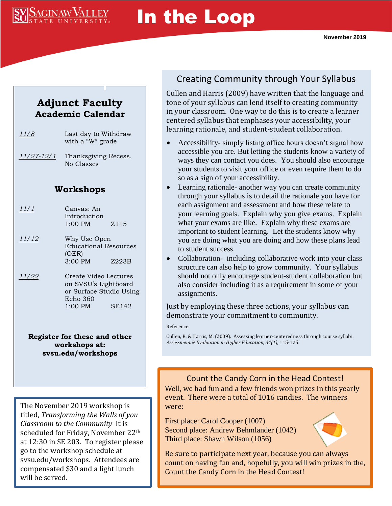# SAGINAW VALLEY

# In the Loop

### **Adjunct Faculty Academic Calendar**

| 11/8              | Last day to Withdraw<br>with a "W" grade                                                                   |                  |
|-------------------|------------------------------------------------------------------------------------------------------------|------------------|
| <u>11/27-12/1</u> | Thanksgiving Recess,<br>No Classes                                                                         |                  |
| Workshops         |                                                                                                            |                  |
| <u> 11/1</u>      | Canvas: An<br>Introduction<br>$1:00$ PM                                                                    | Z <sub>115</sub> |
| <u>11/12</u>      | Why Use Open<br><b>Educational Resources</b><br>(OER)<br>3:00 PM                                           | Z223B            |
| <u>11/22</u>      | Create Video Lectures<br>on SVSU's Lightboard<br>or Surface Studio Using<br>Echo 360<br>$1:00$ PM<br>SE142 |                  |

**Register for these and other workshops at: svsu.edu/workshops**

The November 2019 workshop is titled, *Transforming the Walls of you Classroom to the Community* It is scheduled for Friday, November 22th at 12:30 in SE 203. To register please go to the workshop schedule at svsu.edu/workshops. Attendees are compensated \$30 and a light lunch will be served.

## Creating Community through Your Syllabus

Cullen and Harris (2009) have written that the language and tone of your syllabus can lend itself to creating community in your classroom. One way to do this is to create a learner centered syllabus that emphases your accessibility, your learning rationale, and student-student collaboration.

- Accessibility- simply listing office hours doesn't signal how accessible you are. But letting the students know a variety of ways they can contact you does. You should also encourage your students to visit your office or even require them to do so as a sign of your accessibility.
- Learning rationale- another way you can create community through your syllabus is to detail the rationale you have for each assignment and assessment and how these relate to your learning goals. Explain why you give exams. Explain what your exams are like. Explain why these exams are important to student learning. Let the students know why you are doing what you are doing and how these plans lead to student success.
- Collaboration- including collaborative work into your class structure can also help to grow community. Your syllabus should not only encourage student-student collaboration but also consider including it as a requirement in some of your assignments.

Just by employing these three actions, your syllabus can demonstrate your commitment to community.

Reference:

Cullen, R. & Harris, M. (2009). Assessing learner-centeredness through course syllabi. *Assessment & Evaluation in Higher Education, 34(1),* 115-125.

Count the Candy Corn in the Head Contest!

Well, we had fun and a few friends won prizes in this yearly event. There were a total of 1016 candies. The winners were:

First place: Carol Cooper (1007) Second place: Andrew Behmlander (1042) Third place: Shawn Wilson (1056)



Be sure to participate next year, because you can always count on having fun and, hopefully, you will win prizes in the, Count the Candy Corn in the Head Contest!